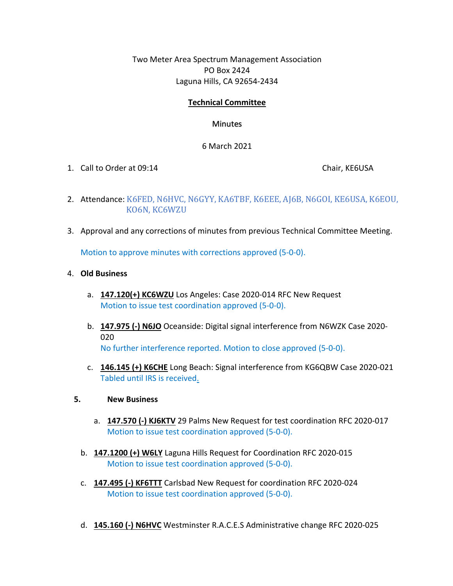Two Meter Area Spectrum Management Association PO Box 2424 Laguna Hills, CA 92654-2434

## **Technical Committee**

## **Minutes**

## 6 March 2021

1. Call to Order at 09:14 Chair, KE6USA

- 2. Attendance: K6FED, N6HVC, N6GYY, KA6TBF, K6EEE, AJ6B, N6GOI, KE6USA, K6EOU, KO6N, KC6WZU
- 3. Approval and any corrections of minutes from previous Technical Committee Meeting.

Motion to approve minutes with corrections approved (5-0-0).

- 4. **Old Business**
	- a. **147.120(+) KC6WZU** Los Angeles: Case 2020-014 RFC New Request Motion to issue test coordination approved (5-0-0).
	- b. **147.975 (-) N6JO** Oceanside: Digital signal interference from N6WZK Case 2020- 020 No further interference reported. Motion to close approved (5-0-0).
	- c. **146.145 (+) K6CHE** Long Beach: Signal interference from KG6QBW Case 2020-021 Tabled until IRS is received.

## **5. New Business**

- a. **147.570 (-) KJ6KTV** 29 Palms New Request for test coordination RFC 2020-017 Motion to issue test coordination approved (5-0-0).
- b. **147.1200 (+) W6LY** Laguna Hills Request for Coordination RFC 2020-015 Motion to issue test coordination approved (5-0-0).
- c. **147.495 (-) KF6TTT** Carlsbad New Request for coordination RFC 2020-024 Motion to issue test coordination approved (5-0-0).
- d. **145.160 (-) N6HVC** Westminster R.A.C.E.S Administrative change RFC 2020-025